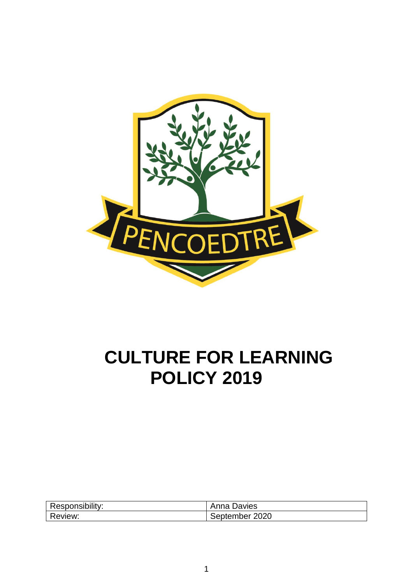

# **CULTURE FOR LEARNING POLICY 2019**

| Responsibility: | Anna Davies       |
|-----------------|-------------------|
| Review:         | 2020<br>September |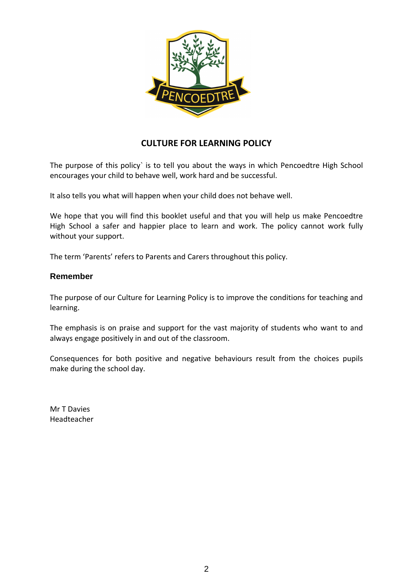

# **CULTURE FOR LEARNING POLICY**

The purpose of this policy` is to tell you about the ways in which Pencoedtre High School encourages your child to behave well, work hard and be successful.

It also tells you what will happen when your child does not behave well.

We hope that you will find this booklet useful and that you will help us make Pencoedtre High School a safer and happier place to learn and work. The policy cannot work fully without your support.

The term 'Parents' refers to Parents and Carers throughout this policy.

#### **Remember**

The purpose of our Culture for Learning Policy is to improve the conditions for teaching and learning.

The emphasis is on praise and support for the vast majority of students who want to and always engage positively in and out of the classroom.

Consequences for both positive and negative behaviours result from the choices pupils make during the school day.

Mr T Davies Headteacher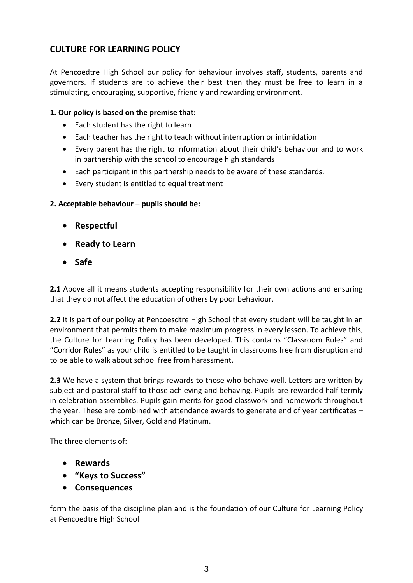# **CULTURE FOR LEARNING POLICY**

At Pencoedtre High School our policy for behaviour involves staff, students, parents and governors. If students are to achieve their best then they must be free to learn in a stimulating, encouraging, supportive, friendly and rewarding environment.

#### **1. Our policy is based on the premise that:**

- Each student has the right to learn
- Each teacher has the right to teach without interruption or intimidation
- Every parent has the right to information about their child's behaviour and to work in partnership with the school to encourage high standards
- Each participant in this partnership needs to be aware of these standards.
- Every student is entitled to equal treatment

#### **2. Acceptable behaviour – pupils should be:**

- **Respectful**
- **Ready to Learn**
- **Safe**

**2.1** Above all it means students accepting responsibility for their own actions and ensuring that they do not affect the education of others by poor behaviour.

**2.2** It is part of our policy at Pencoesdtre High School that every student will be taught in an environment that permits them to make maximum progress in every lesson. To achieve this, the Culture for Learning Policy has been developed. This contains "Classroom Rules" and "Corridor Rules" as your child is entitled to be taught in classrooms free from disruption and to be able to walk about school free from harassment.

**2.3** We have a system that brings rewards to those who behave well. Letters are written by subject and pastoral staff to those achieving and behaving. Pupils are rewarded half termly in celebration assemblies. Pupils gain merits for good classwork and homework throughout the year. These are combined with attendance awards to generate end of year certificates – which can be Bronze, Silver, Gold and Platinum.

The three elements of:

- **Rewards**
- **"Keys to Success"**
- **Consequences**

form the basis of the discipline plan and is the foundation of our Culture for Learning Policy at Pencoedtre High School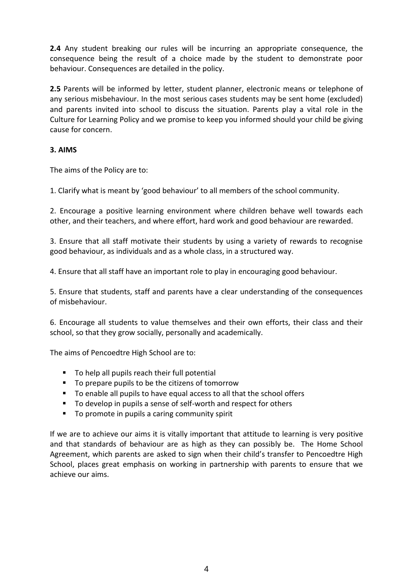**2.4** Any student breaking our rules will be incurring an appropriate consequence, the consequence being the result of a choice made by the student to demonstrate poor behaviour. Consequences are detailed in the policy.

**2.5** Parents will be informed by letter, student planner, electronic means or telephone of any serious misbehaviour. In the most serious cases students may be sent home (excluded) and parents invited into school to discuss the situation. Parents play a vital role in the Culture for Learning Policy and we promise to keep you informed should your child be giving cause for concern.

#### **3. AIMS**

The aims of the Policy are to:

1. Clarify what is meant by 'good behaviour' to all members of the school community.

2. Encourage a positive learning environment where children behave well towards each other, and their teachers, and where effort, hard work and good behaviour are rewarded.

3. Ensure that all staff motivate their students by using a variety of rewards to recognise good behaviour, as individuals and as a whole class, in a structured way.

4. Ensure that all staff have an important role to play in encouraging good behaviour.

5. Ensure that students, staff and parents have a clear understanding of the consequences of misbehaviour.

6. Encourage all students to value themselves and their own efforts, their class and their school, so that they grow socially, personally and academically.

The aims of Pencoedtre High School are to:

- To help all pupils reach their full potential
- To prepare pupils to be the citizens of tomorrow
- To enable all pupils to have equal access to all that the school offers
- To develop in pupils a sense of self-worth and respect for others
- To promote in pupils a caring community spirit

If we are to achieve our aims it is vitally important that attitude to learning is very positive and that standards of behaviour are as high as they can possibly be. The Home School Agreement, which parents are asked to sign when their child's transfer to Pencoedtre High School, places great emphasis on working in partnership with parents to ensure that we achieve our aims.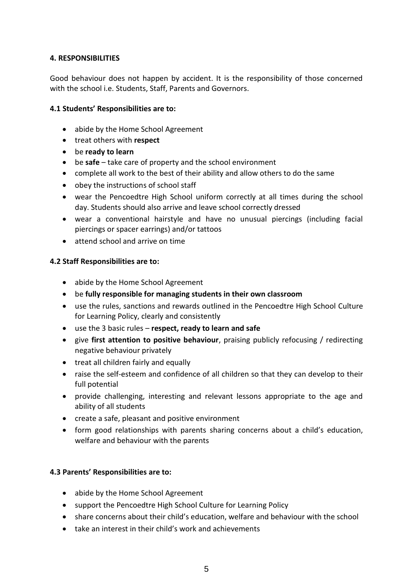#### **4. RESPONSIBILITIES**

Good behaviour does not happen by accident. It is the responsibility of those concerned with the school i.e. Students, Staff, Parents and Governors.

#### **4.1 Students' Responsibilities are to:**

- abide by the Home School Agreement
- treat others with **respect**
- be **ready to learn**
- be **safe** take care of property and the school environment
- complete all work to the best of their ability and allow others to do the same
- obey the instructions of school staff
- wear the Pencoedtre High School uniform correctly at all times during the school day. Students should also arrive and leave school correctly dressed
- wear a conventional hairstyle and have no unusual piercings (including facial piercings or spacer earrings) and/or tattoos
- attend school and arrive on time

#### **4.2 Staff Responsibilities are to:**

- abide by the Home School Agreement
- be **fully responsible for managing students in their own classroom**
- use the rules, sanctions and rewards outlined in the Pencoedtre High School Culture for Learning Policy, clearly and consistently
- use the 3 basic rules **respect, ready to learn and safe**
- give **first attention to positive behaviour**, praising publicly refocusing / redirecting negative behaviour privately
- treat all children fairly and equally
- raise the self-esteem and confidence of all children so that they can develop to their full potential
- provide challenging, interesting and relevant lessons appropriate to the age and ability of all students
- create a safe, pleasant and positive environment
- form good relationships with parents sharing concerns about a child's education, welfare and behaviour with the parents

#### **4.3 Parents' Responsibilities are to:**

- abide by the Home School Agreement
- support the Pencoedtre High School Culture for Learning Policy
- share concerns about their child's education, welfare and behaviour with the school
- take an interest in their child's work and achievements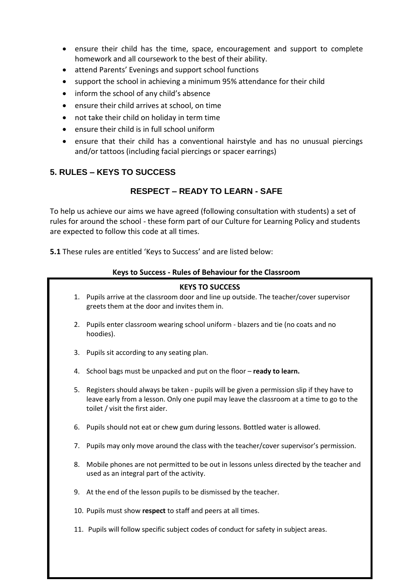- ensure their child has the time, space, encouragement and support to complete homework and all coursework to the best of their ability.
- attend Parents' Evenings and support school functions
- support the school in achieving a minimum 95% attendance for their child
- inform the school of any child's absence
- ensure their child arrives at school, on time
- not take their child on holiday in term time
- ensure their child is in full school uniform
- ensure that their child has a conventional hairstyle and has no unusual piercings and/or tattoos (including facial piercings or spacer earrings)

## **5. RULES – KEYS TO SUCCESS**

## **RESPECT – READY TO LEARN - SAFE**

To help us achieve our aims we have agreed (following consultation with students) a set of rules for around the school - these form part of our Culture for Learning Policy and students are expected to follow this code at all times.

**5.1** These rules are entitled 'Keys to Success' and are listed below:

#### **Keys to Success - Rules of Behaviour for the Classroom**

# **KEYS TO SUCCESS**

- 1. Pupils arrive at the classroom door and line up outside. The teacher/cover supervisor greets them at the door and invites them in.
- 2. Pupils enter classroom wearing school uniform blazers and tie (no coats and no hoodies).
- 3. Pupils sit according to any seating plan.
- 4. School bags must be unpacked and put on the floor **ready to learn.**
- 5. Registers should always be taken pupils will be given a permission slip if they have to leave early from a lesson. Only one pupil may leave the classroom at a time to go to the toilet / visit the first aider.
- 6. Pupils should not eat or chew gum during lessons. Bottled water is allowed.
- 7. Pupils may only move around the class with the teacher/cover supervisor's permission.
- 8. Mobile phones are not permitted to be out in lessons unless directed by the teacher and used as an integral part of the activity.
- 9. At the end of the lesson pupils to be dismissed by the teacher.
- 10. Pupils must show **respect** to staff and peers at all times.
- 11. Pupils will follow specific subject codes of conduct for safety in subject areas.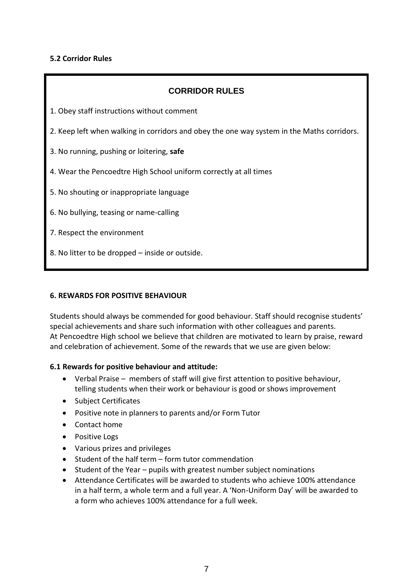#### **5.2 Corridor Rules**

| <b>CORRIDOR RULES</b>                                                                      |
|--------------------------------------------------------------------------------------------|
| 1. Obey staff instructions without comment                                                 |
| 2. Keep left when walking in corridors and obey the one way system in the Maths corridors. |
| 3. No running, pushing or loitering, safe                                                  |
| 4. Wear the Pencoedtre High School uniform correctly at all times                          |
| 5. No shouting or inappropriate language                                                   |
| 6. No bullying, teasing or name-calling                                                    |
| 7. Respect the environment                                                                 |
| 8. No litter to be dropped - inside or outside.                                            |

#### **6. REWARDS FOR POSITIVE BEHAVIOUR**

Students should always be commended for good behaviour. Staff should recognise students' special achievements and share such information with other colleagues and parents. At Pencoedtre High school we believe that children are motivated to learn by praise, reward and celebration of achievement. Some of the rewards that we use are given below:

#### **6.1 Rewards for positive behaviour and attitude:**

- Verbal Praise members of staff will give first attention to positive behaviour, telling students when their work or behaviour is good or shows improvement
- Subject Certificates
- Positive note in planners to parents and/or Form Tutor
- Contact home
- Positive Logs
- Various prizes and privileges
- Student of the half term form tutor commendation
- Student of the Year pupils with greatest number subject nominations
- Attendance Certificates will be awarded to students who achieve 100% attendance in a half term, a whole term and a full year. A 'Non-Uniform Day' will be awarded to a form who achieves 100% attendance for a full week.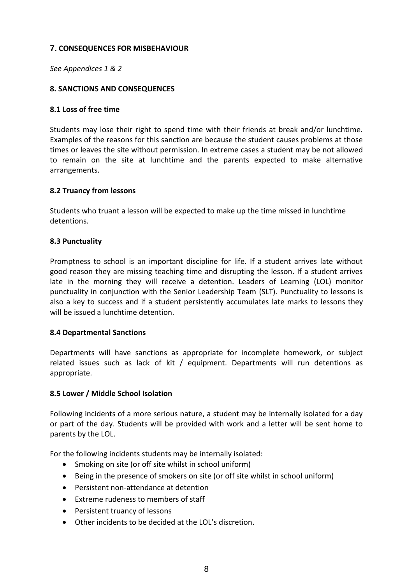#### **7. CONSEQUENCES FOR MISBEHAVIOUR**

*See Appendices 1 & 2*

#### **8. SANCTIONS AND CONSEQUENCES**

#### **8.1 Loss of free time**

Students may lose their right to spend time with their friends at break and/or lunchtime. Examples of the reasons for this sanction are because the student causes problems at those times or leaves the site without permission. In extreme cases a student may be not allowed to remain on the site at lunchtime and the parents expected to make alternative arrangements.

#### **8.2 Truancy from lessons**

Students who truant a lesson will be expected to make up the time missed in lunchtime detentions.

#### **8.3 Punctuality**

Promptness to school is an important discipline for life. If a student arrives late without good reason they are missing teaching time and disrupting the lesson. If a student arrives late in the morning they will receive a detention. Leaders of Learning (LOL) monitor punctuality in conjunction with the Senior Leadership Team (SLT). Punctuality to lessons is also a key to success and if a student persistently accumulates late marks to lessons they will be issued a lunchtime detention.

#### **8.4 Departmental Sanctions**

Departments will have sanctions as appropriate for incomplete homework, or subject related issues such as lack of kit / equipment. Departments will run detentions as appropriate.

#### **8.5 Lower / Middle School Isolation**

Following incidents of a more serious nature, a student may be internally isolated for a day or part of the day. Students will be provided with work and a letter will be sent home to parents by the LOL.

For the following incidents students may be internally isolated:

- Smoking on site (or off site whilst in school uniform)
- Being in the presence of smokers on site (or off site whilst in school uniform)
- Persistent non-attendance at detention
- Extreme rudeness to members of staff
- Persistent truancy of lessons
- Other incidents to be decided at the LOL's discretion.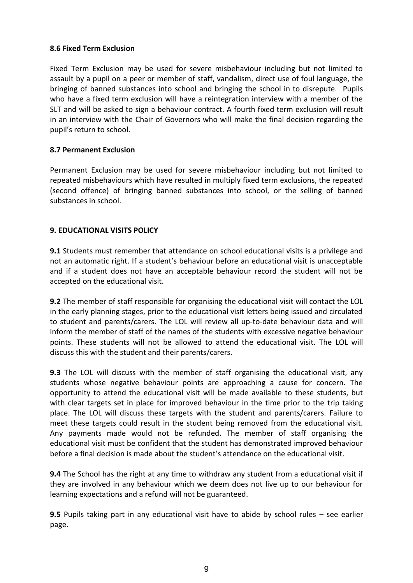#### **8.6 Fixed Term Exclusion**

Fixed Term Exclusion may be used for severe misbehaviour including but not limited to assault by a pupil on a peer or member of staff, vandalism, direct use of foul language, the bringing of banned substances into school and bringing the school in to disrepute. Pupils who have a fixed term exclusion will have a reintegration interview with a member of the SLT and will be asked to sign a behaviour contract. A fourth fixed term exclusion will result in an interview with the Chair of Governors who will make the final decision regarding the pupil's return to school.

#### **8.7 Permanent Exclusion**

Permanent Exclusion may be used for severe misbehaviour including but not limited to repeated misbehaviours which have resulted in multiply fixed term exclusions, the repeated (second offence) of bringing banned substances into school, or the selling of banned substances in school.

#### **9. EDUCATIONAL VISITS POLICY**

**9.1** Students must remember that attendance on school educational visits is a privilege and not an automatic right. If a student's behaviour before an educational visit is unacceptable and if a student does not have an acceptable behaviour record the student will not be accepted on the educational visit.

**9.2** The member of staff responsible for organising the educational visit will contact the LOL in the early planning stages, prior to the educational visit letters being issued and circulated to student and parents/carers. The LOL will review all up-to-date behaviour data and will inform the member of staff of the names of the students with excessive negative behaviour points. These students will not be allowed to attend the educational visit. The LOL will discuss this with the student and their parents/carers.

**9.3** The LOL will discuss with the member of staff organising the educational visit, any students whose negative behaviour points are approaching a cause for concern. The opportunity to attend the educational visit will be made available to these students, but with clear targets set in place for improved behaviour in the time prior to the trip taking place. The LOL will discuss these targets with the student and parents/carers. Failure to meet these targets could result in the student being removed from the educational visit. Any payments made would not be refunded. The member of staff organising the educational visit must be confident that the student has demonstrated improved behaviour before a final decision is made about the student's attendance on the educational visit.

**9.4** The School has the right at any time to withdraw any student from a educational visit if they are involved in any behaviour which we deem does not live up to our behaviour for learning expectations and a refund will not be guaranteed.

**9.5** Pupils taking part in any educational visit have to abide by school rules – see earlier page.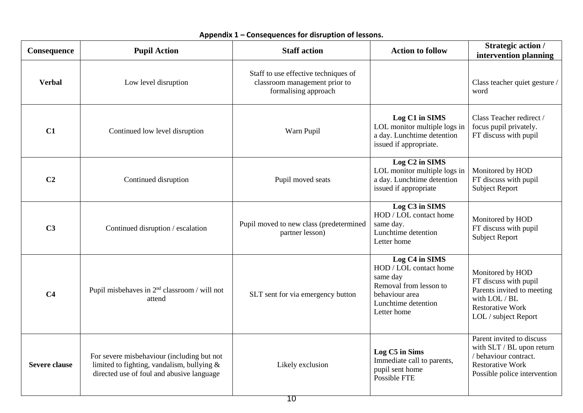| Consequence          | <b>Pupil Action</b>                                                                                                                   | <b>Staff action</b>                                                                           | <b>Action to follow</b>                                                                                                                | <b>Strategic action /</b><br>intervention planning                                                                                          |
|----------------------|---------------------------------------------------------------------------------------------------------------------------------------|-----------------------------------------------------------------------------------------------|----------------------------------------------------------------------------------------------------------------------------------------|---------------------------------------------------------------------------------------------------------------------------------------------|
| <b>Verbal</b>        | Low level disruption                                                                                                                  | Staff to use effective techniques of<br>classroom management prior to<br>formalising approach |                                                                                                                                        | Class teacher quiet gesture /<br>word                                                                                                       |
| C1                   | Continued low level disruption                                                                                                        | Warn Pupil                                                                                    | Log C1 in SIMS<br>LOL monitor multiple logs in<br>a day. Lunchtime detention<br>issued if appropriate.                                 | Class Teacher redirect /<br>focus pupil privately.<br>FT discuss with pupil                                                                 |
| C <sub>2</sub>       | Continued disruption                                                                                                                  | Pupil moved seats                                                                             | Log C <sub>2</sub> in SIMS<br>LOL monitor multiple logs in<br>a day. Lunchtime detention<br>issued if appropriate                      | Monitored by HOD<br>FT discuss with pupil<br><b>Subject Report</b>                                                                          |
| C <sub>3</sub>       | Continued disruption / escalation                                                                                                     | Pupil moved to new class (predetermined<br>partner lesson)                                    | Log C3 in SIMS<br>HOD / LOL contact home<br>same day.<br>Lunchtime detention<br>Letter home                                            | Monitored by HOD<br>FT discuss with pupil<br><b>Subject Report</b>                                                                          |
| C <sub>4</sub>       | Pupil misbehaves in 2 <sup>nd</sup> classroom / will not<br>attend                                                                    | SLT sent for via emergency button                                                             | Log C4 in SIMS<br>HOD / LOL contact home<br>same day<br>Removal from lesson to<br>behaviour area<br>Lunchtime detention<br>Letter home | Monitored by HOD<br>FT discuss with pupil<br>Parents invited to meeting<br>with LOL / BL<br><b>Restorative Work</b><br>LOL / subject Report |
| <b>Severe clause</b> | For severe misbehaviour (including but not<br>limited to fighting, vandalism, bullying &<br>directed use of foul and abusive language | Likely exclusion                                                                              | Log C5 in Sims<br>Immediate call to parents,<br>pupil sent home<br>Possible FTE                                                        | Parent invited to discuss<br>with SLT / BL upon return<br>/ behaviour contract.<br><b>Restorative Work</b><br>Possible police intervention  |

### **Appendix 1 – Consequences for disruption of lessons.**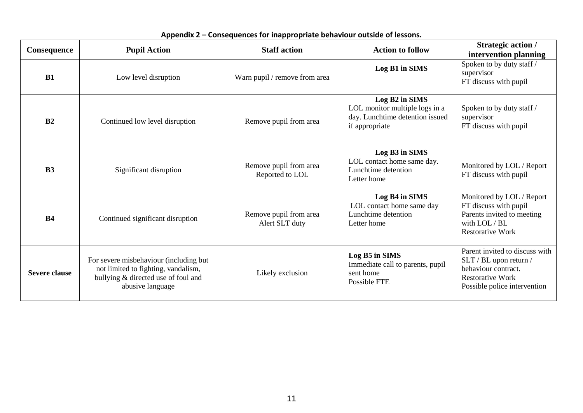| Consequence          | <b>Pupil Action</b>                                                                                                                      | <b>Staff action</b>                       | <b>Action to follow</b>                                                                               | <b>Strategic action /</b><br>intervention planning                                                                                         |
|----------------------|------------------------------------------------------------------------------------------------------------------------------------------|-------------------------------------------|-------------------------------------------------------------------------------------------------------|--------------------------------------------------------------------------------------------------------------------------------------------|
| <b>B1</b>            | Low level disruption                                                                                                                     | Warn pupil / remove from area             | Log B1 in SIMS                                                                                        | Spoken to by duty staff /<br>supervisor<br>FT discuss with pupil                                                                           |
| B <sub>2</sub>       | Continued low level disruption                                                                                                           | Remove pupil from area                    | Log B2 in SIMS<br>LOL monitor multiple logs in a<br>day. Lunchtime detention issued<br>if appropriate | Spoken to by duty staff /<br>supervisor<br>FT discuss with pupil                                                                           |
| B <sub>3</sub>       | Significant disruption                                                                                                                   | Remove pupil from area<br>Reported to LOL | Log B3 in SIMS<br>LOL contact home same day.<br>Lunchtime detention<br>Letter home                    | Monitored by LOL / Report<br>FT discuss with pupil                                                                                         |
| <b>B4</b>            | Continued significant disruption                                                                                                         | Remove pupil from area<br>Alert SLT duty  | Log B4 in SIMS<br>LOL contact home same day<br>Lunchtime detention<br>Letter home                     | Monitored by LOL / Report<br>FT discuss with pupil<br>Parents invited to meeting<br>with LOL / BL<br><b>Restorative Work</b>               |
| <b>Severe clause</b> | For severe misbehaviour (including but<br>not limited to fighting, vandalism,<br>bullying & directed use of foul and<br>abusive language | Likely exclusion                          | Log B5 in SIMS<br>Immediate call to parents, pupil<br>sent home<br>Possible FTE                       | Parent invited to discuss with<br>SLT / BL upon return /<br>behaviour contract.<br><b>Restorative Work</b><br>Possible police intervention |

# **Appendix 2 – Consequences for inappropriate behaviour outside of lessons.**